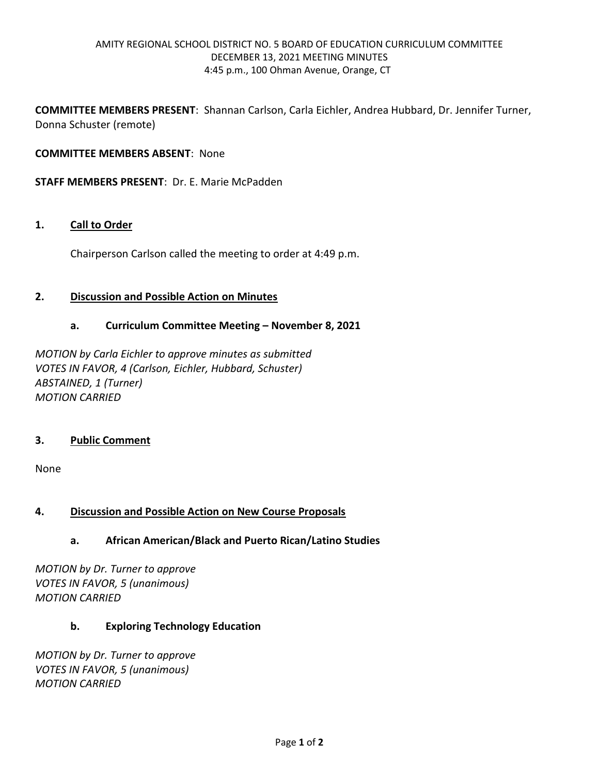**COMMITTEE MEMBERS PRESENT**: Shannan Carlson, Carla Eichler, Andrea Hubbard, Dr. Jennifer Turner, Donna Schuster (remote)

## **COMMITTEE MEMBERS ABSENT**: None

**STAFF MEMBERS PRESENT**: Dr. E. Marie McPadden

#### **1. Call to Order**

Chairperson Carlson called the meeting to order at 4:49 p.m.

#### **2. Discussion and Possible Action on Minutes**

#### **a. Curriculum Committee Meeting – November 8, 2021**

*MOTION by Carla Eichler to approve minutes as submitted VOTES IN FAVOR, 4 (Carlson, Eichler, Hubbard, Schuster) ABSTAINED, 1 (Turner) MOTION CARRIED*

## **3. Public Comment**

None

## **4. Discussion and Possible Action on New Course Proposals**

## **a. African American/Black and Puerto Rican/Latino Studies**

*MOTION by Dr. Turner to approve VOTES IN FAVOR, 5 (unanimous) MOTION CARRIED*

## **b. Exploring Technology Education**

*MOTION by Dr. Turner to approve VOTES IN FAVOR, 5 (unanimous) MOTION CARRIED*